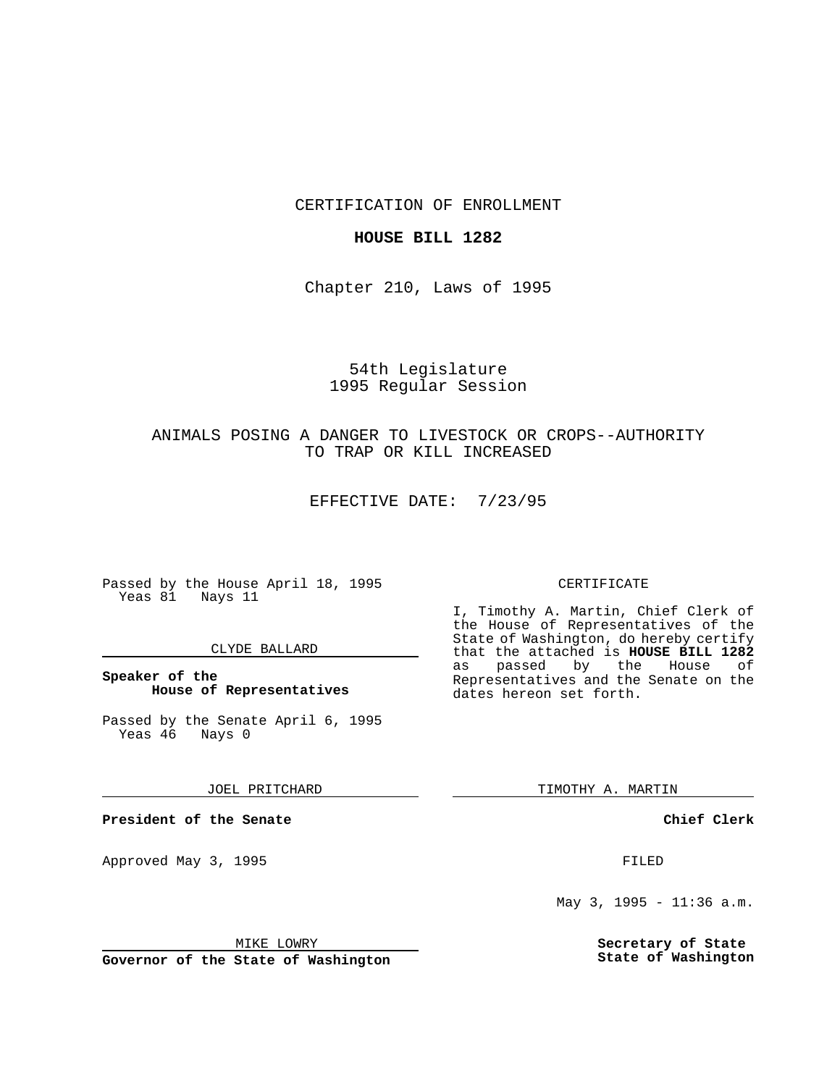CERTIFICATION OF ENROLLMENT

## **HOUSE BILL 1282**

Chapter 210, Laws of 1995

# 54th Legislature 1995 Regular Session

# ANIMALS POSING A DANGER TO LIVESTOCK OR CROPS--AUTHORITY TO TRAP OR KILL INCREASED

EFFECTIVE DATE: 7/23/95

Passed by the House April 18, 1995 Yeas 81 Nays 11

## CLYDE BALLARD

# **Speaker of the House of Representatives**

Passed by the Senate April 6, 1995<br>Yeas 46 Nays 0 Yeas 46

#### JOEL PRITCHARD

**President of the Senate**

Approved May 3, 1995 **FILED** 

#### MIKE LOWRY

**Governor of the State of Washington**

#### CERTIFICATE

I, Timothy A. Martin, Chief Clerk of the House of Representatives of the State of Washington, do hereby certify that the attached is **HOUSE BILL 1282** as passed by the Representatives and the Senate on the dates hereon set forth.

TIMOTHY A. MARTIN

## **Chief Clerk**

May 3, 1995 - 11:36 a.m.

**Secretary of State State of Washington**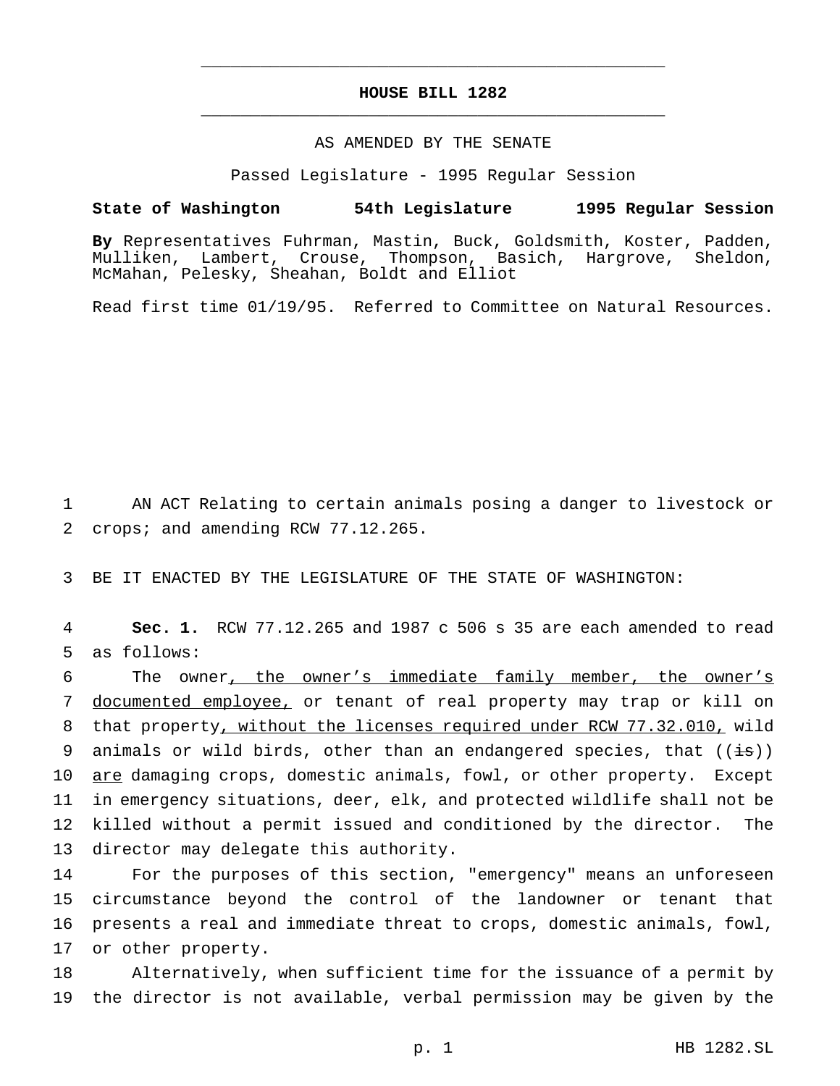# **HOUSE BILL 1282** \_\_\_\_\_\_\_\_\_\_\_\_\_\_\_\_\_\_\_\_\_\_\_\_\_\_\_\_\_\_\_\_\_\_\_\_\_\_\_\_\_\_\_\_\_\_\_

\_\_\_\_\_\_\_\_\_\_\_\_\_\_\_\_\_\_\_\_\_\_\_\_\_\_\_\_\_\_\_\_\_\_\_\_\_\_\_\_\_\_\_\_\_\_\_

## AS AMENDED BY THE SENATE

Passed Legislature - 1995 Regular Session

#### **State of Washington 54th Legislature 1995 Regular Session**

**By** Representatives Fuhrman, Mastin, Buck, Goldsmith, Koster, Padden, Mulliken, Lambert, Crouse, Thompson, Basich, Hargrove, Sheldon, McMahan, Pelesky, Sheahan, Boldt and Elliot

Read first time 01/19/95. Referred to Committee on Natural Resources.

1 AN ACT Relating to certain animals posing a danger to livestock or 2 crops; and amending RCW 77.12.265.

3 BE IT ENACTED BY THE LEGISLATURE OF THE STATE OF WASHINGTON:

4 **Sec. 1.** RCW 77.12.265 and 1987 c 506 s 35 are each amended to read 5 as follows:

 The owner, the owner's immediate family member, the owner's documented employee, or tenant of real property may trap or kill on that property, without the licenses required under RCW 77.32.010, wild 9 animals or wild birds, other than an endangered species, that  $((\frac{1}{18}))$ 10 are damaging crops, domestic animals, fowl, or other property. Except in emergency situations, deer, elk, and protected wildlife shall not be killed without a permit issued and conditioned by the director. The director may delegate this authority.

 For the purposes of this section, "emergency" means an unforeseen circumstance beyond the control of the landowner or tenant that presents a real and immediate threat to crops, domestic animals, fowl, or other property.

18 Alternatively, when sufficient time for the issuance of a permit by 19 the director is not available, verbal permission may be given by the

p. 1 HB 1282.SL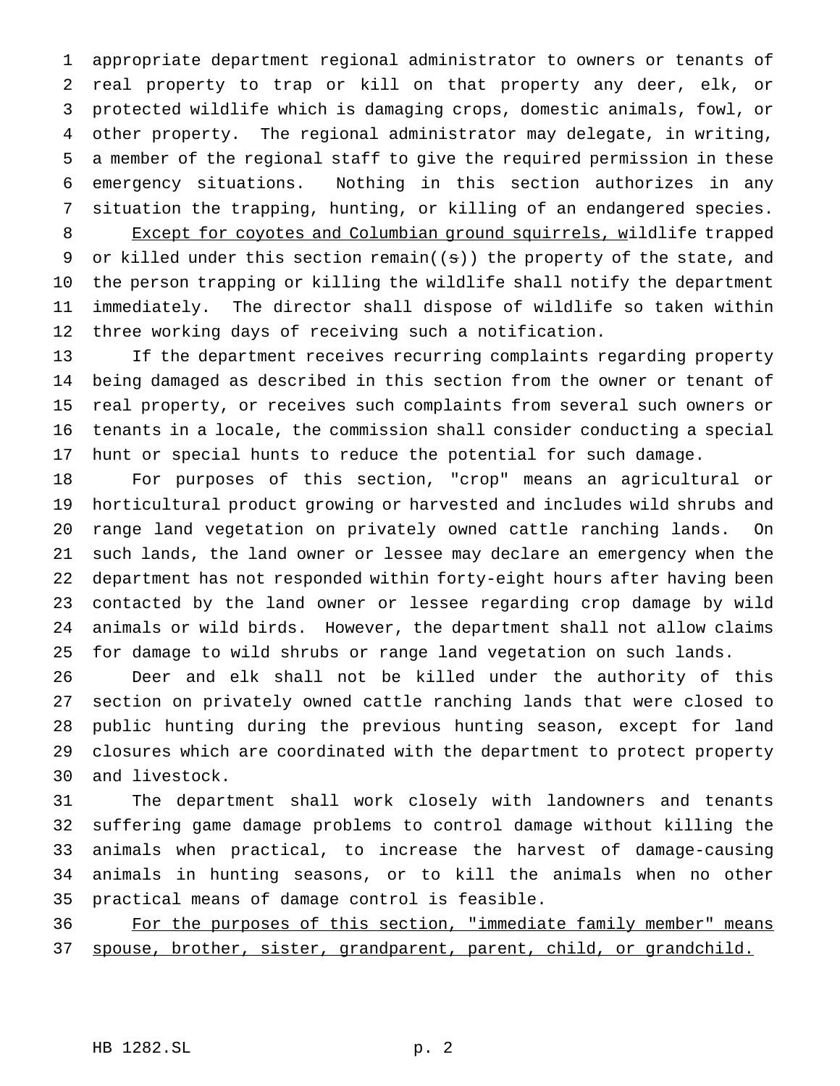appropriate department regional administrator to owners or tenants of real property to trap or kill on that property any deer, elk, or protected wildlife which is damaging crops, domestic animals, fowl, or other property. The regional administrator may delegate, in writing, a member of the regional staff to give the required permission in these emergency situations. Nothing in this section authorizes in any situation the trapping, hunting, or killing of an endangered species. 8 Except for coyotes and Columbian ground squirrels, wildlife trapped 9 or killed under this section remain( $(s)$ ) the property of the state, and the person trapping or killing the wildlife shall notify the department immediately. The director shall dispose of wildlife so taken within three working days of receiving such a notification.

 If the department receives recurring complaints regarding property being damaged as described in this section from the owner or tenant of real property, or receives such complaints from several such owners or tenants in a locale, the commission shall consider conducting a special hunt or special hunts to reduce the potential for such damage.

 For purposes of this section, "crop" means an agricultural or horticultural product growing or harvested and includes wild shrubs and range land vegetation on privately owned cattle ranching lands. On such lands, the land owner or lessee may declare an emergency when the department has not responded within forty-eight hours after having been contacted by the land owner or lessee regarding crop damage by wild animals or wild birds. However, the department shall not allow claims for damage to wild shrubs or range land vegetation on such lands.

 Deer and elk shall not be killed under the authority of this section on privately owned cattle ranching lands that were closed to public hunting during the previous hunting season, except for land closures which are coordinated with the department to protect property and livestock.

 The department shall work closely with landowners and tenants suffering game damage problems to control damage without killing the animals when practical, to increase the harvest of damage-causing animals in hunting seasons, or to kill the animals when no other practical means of damage control is feasible.

36 For the purposes of this section, "immediate family member" means spouse, brother, sister, grandparent, parent, child, or grandchild.